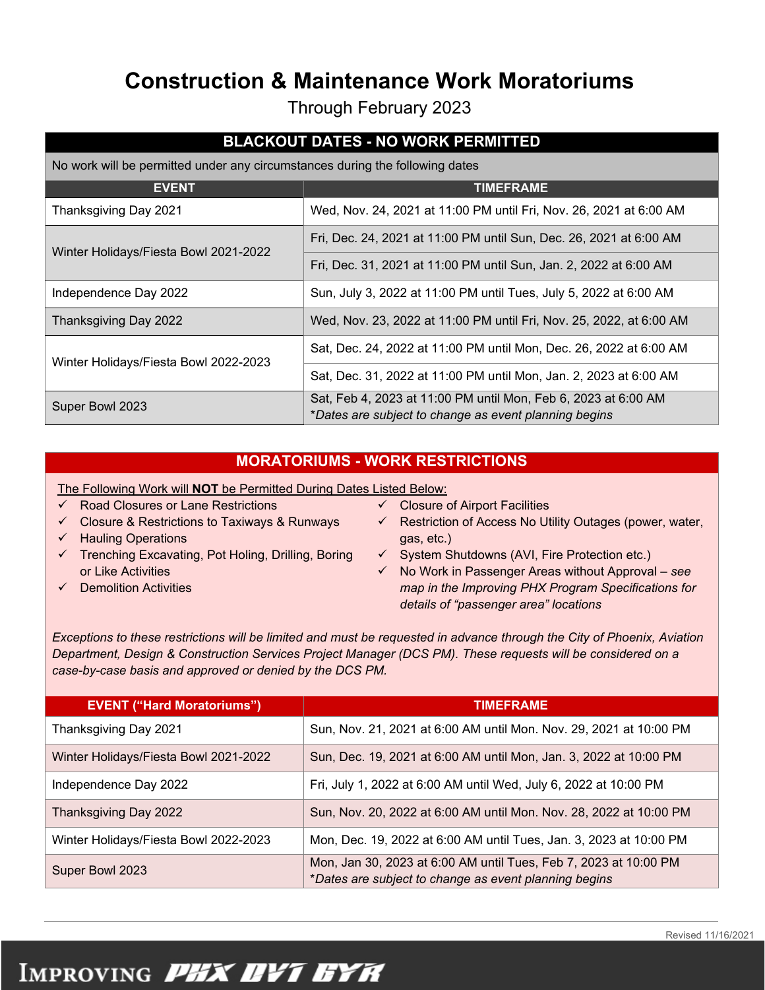### **Construction & Maintenance Work Moratoriums**

Through February 2023

### **BLACKOUT DATES - NO WORK PERMITTED**

No work will be permitted under any circumstances during the following dates

| <b>EVENT</b>                          | <b>TIMEFRAME</b>                                                                                                        |
|---------------------------------------|-------------------------------------------------------------------------------------------------------------------------|
| Thanksgiving Day 2021                 | Wed, Nov. 24, 2021 at 11:00 PM until Fri, Nov. 26, 2021 at 6:00 AM                                                      |
| Winter Holidays/Fiesta Bowl 2021-2022 | Fri, Dec. 24, 2021 at 11:00 PM until Sun, Dec. 26, 2021 at 6:00 AM                                                      |
|                                       | Fri, Dec. 31, 2021 at 11:00 PM until Sun, Jan. 2, 2022 at 6:00 AM                                                       |
| Independence Day 2022                 | Sun, July 3, 2022 at 11:00 PM until Tues, July 5, 2022 at 6:00 AM                                                       |
| Thanksgiving Day 2022                 | Wed, Nov. 23, 2022 at 11:00 PM until Fri, Nov. 25, 2022, at 6:00 AM                                                     |
| Winter Holidays/Fiesta Bowl 2022-2023 | Sat, Dec. 24, 2022 at 11:00 PM until Mon, Dec. 26, 2022 at 6:00 AM                                                      |
|                                       | Sat, Dec. 31, 2022 at 11:00 PM until Mon, Jan. 2, 2023 at 6:00 AM                                                       |
| Super Bowl 2023                       | Sat, Feb 4, 2023 at 11:00 PM until Mon, Feb 6, 2023 at 6:00 AM<br>*Dates are subject to change as event planning begins |

#### **MORATORIUMS - WORK RESTRICTIONS**

The Following Work will **NOT** be Permitted During Dates Listed Below:

- $\checkmark$  Road Closures or Lane Restrictions
- $\checkmark$  Closure & Restrictions to Taxiways & Runways
- $\checkmark$  Hauling Operations
- $\checkmark$  Trenching Excavating, Pot Holing, Drilling, Boring or Like Activities
- Demolition Activities
- $\checkmark$  Closure of Airport Facilities
- $\checkmark$  Restriction of Access No Utility Outages (power, water, gas, etc.)
- $\checkmark$  System Shutdowns (AVI, Fire Protection etc.)
- No Work in Passenger Areas without Approval *see map in the Improving PHX Program Specifications for details of "passenger area" locations*

*Exceptions to these restrictions will be limited and must be requested in advance through the City of Phoenix, Aviation Department, Design & Construction Services Project Manager (DCS PM). These requests will be considered on a case-by-case basis and approved or denied by the DCS PM.*

| <b>EVENT ("Hard Moratoriums")</b>     | <b>TIMEFRAME</b>                                                                                                          |
|---------------------------------------|---------------------------------------------------------------------------------------------------------------------------|
| Thanksgiving Day 2021                 | Sun, Nov. 21, 2021 at 6:00 AM until Mon. Nov. 29, 2021 at 10:00 PM                                                        |
| Winter Holidays/Fiesta Bowl 2021-2022 | Sun, Dec. 19, 2021 at 6:00 AM until Mon, Jan. 3, 2022 at 10:00 PM                                                         |
| Independence Day 2022                 | Fri, July 1, 2022 at 6:00 AM until Wed, July 6, 2022 at 10:00 PM                                                          |
| Thanksgiving Day 2022                 | Sun, Nov. 20, 2022 at 6:00 AM until Mon. Nov. 28, 2022 at 10:00 PM                                                        |
| Winter Holidays/Fiesta Bowl 2022-2023 | Mon, Dec. 19, 2022 at 6:00 AM until Tues, Jan. 3, 2023 at 10:00 PM                                                        |
| Super Bowl 2023                       | Mon, Jan 30, 2023 at 6:00 AM until Tues, Feb 7, 2023 at 10:00 PM<br>*Dates are subject to change as event planning begins |

# IMPROVING PHX DYT EYA